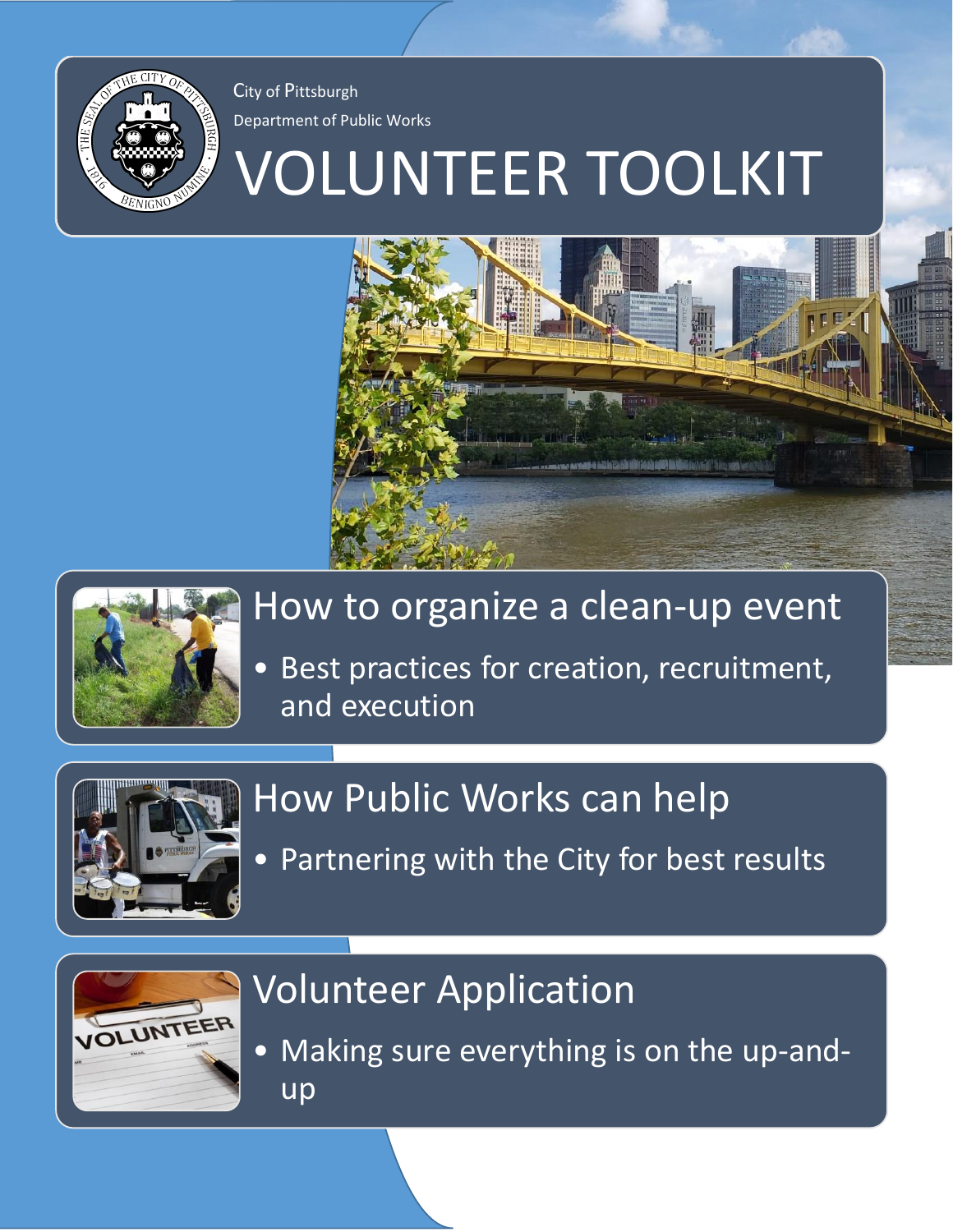

City of Pittsburgh Department of Public Works

# VOLUNTEER TOOLKIT





### How to organize a clean-up event

Best practices for creation, recruitment, and execution



## How Public Works can help

• Partnering with the City for best results



## Volunteer Application

• Making sure everything is on the up-andup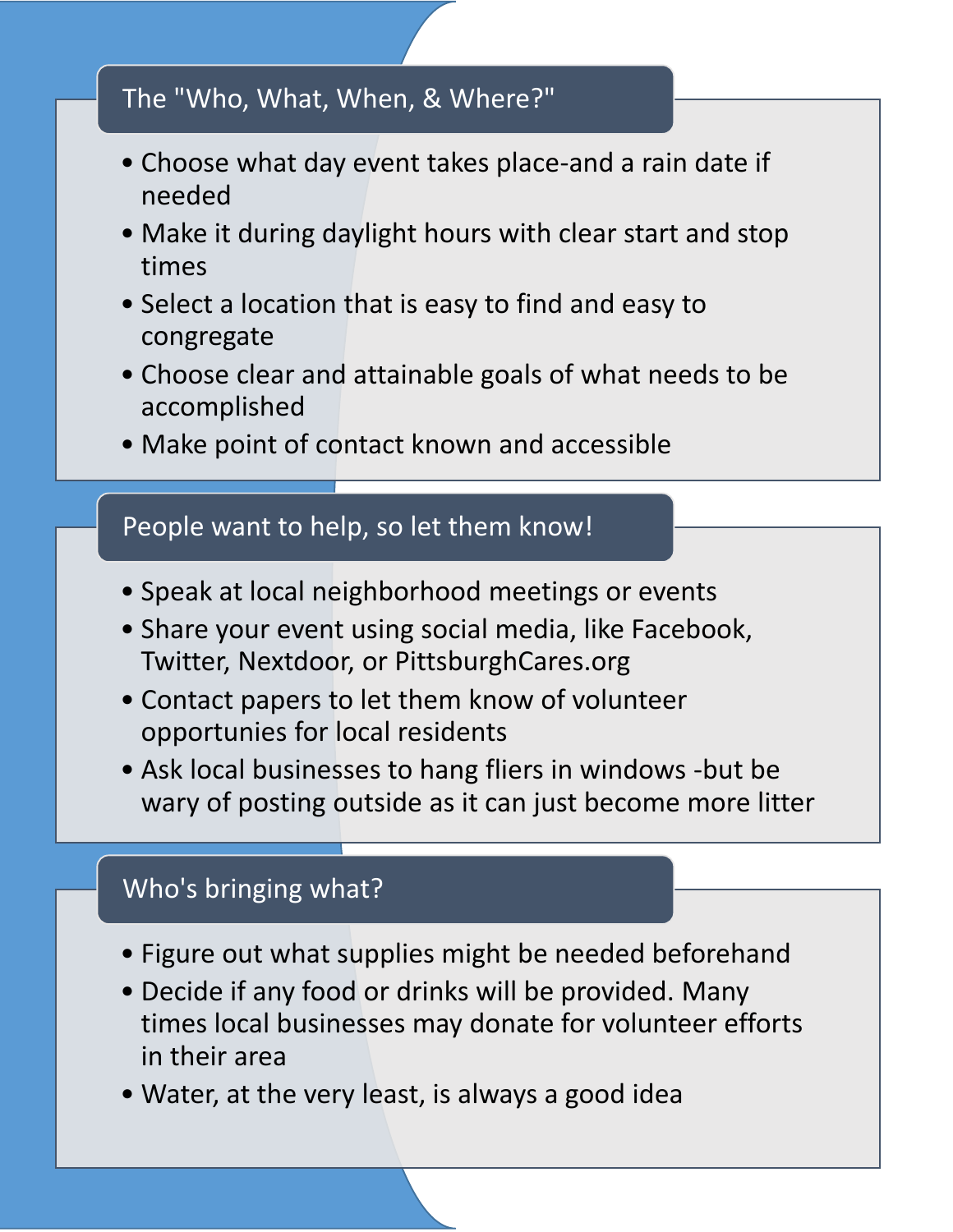#### The "Who, What, When, & Where?"

- Choose what day event takes place-and a rain date if needed
- Make it during daylight hours with clear start and stop times
- Select a location that is easy to find and easy to congregate
- Choose clear and attainable goals of what needs to be accomplished
- Make point of contact known and accessible

#### People want to help, so let them know!

- Speak at local neighborhood meetings or events
- Share your event using social media, like Facebook, Twitter, Nextdoor, or PittsburghCares.org
- Contact papers to let them know of volunteer opportunies for local residents
- Ask local businesses to hang fliers in windows -but be wary of posting outside as it can just become more litter

#### Who's bringing what?

- Figure out what supplies might be needed beforehand
- Decide if any food or drinks will be provided. Many times local businesses may donate for volunteer efforts in their area
- Water, at the very least, is always a good idea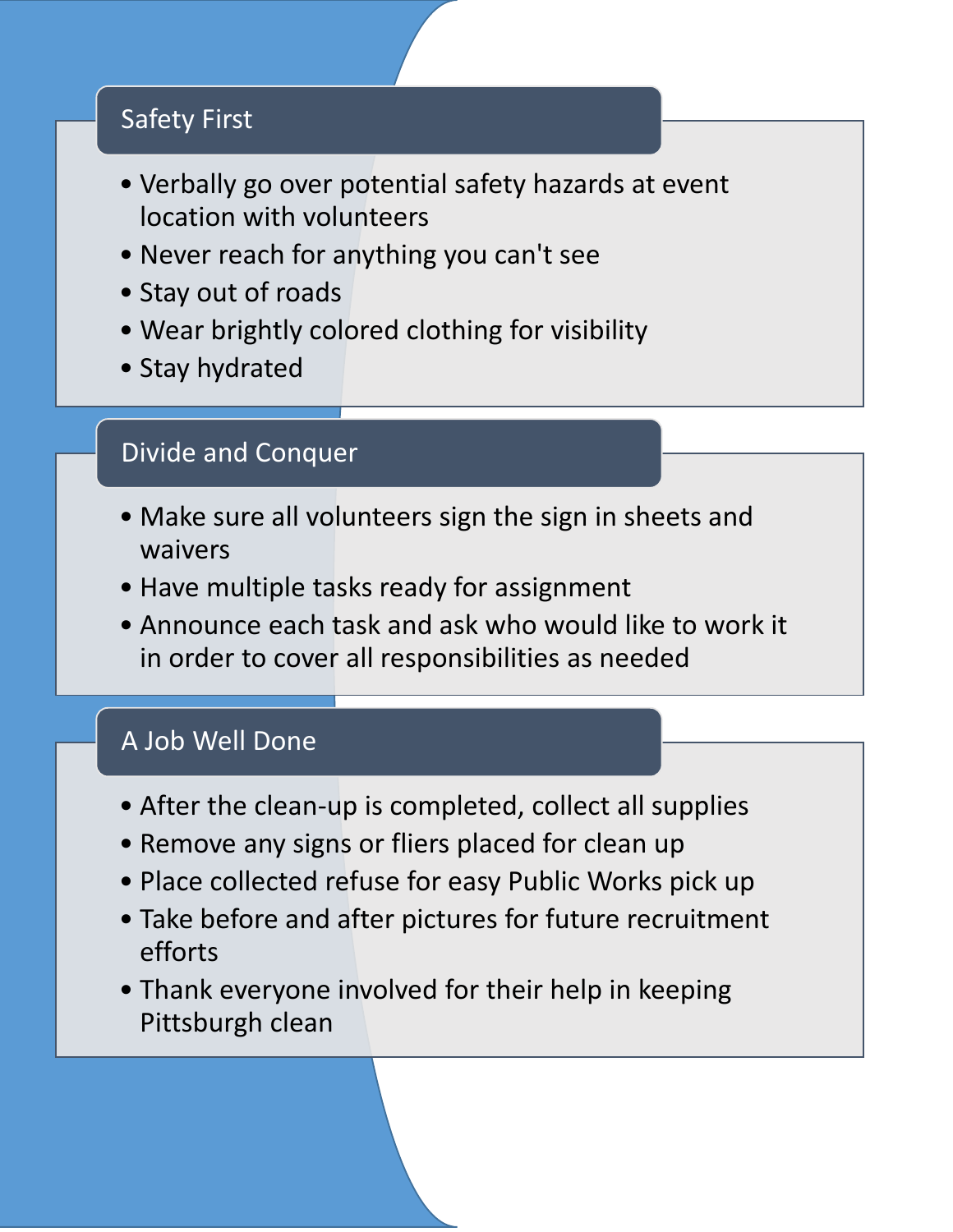#### Safety First

- Verbally go over potential safety hazards at event location with volunteers
- Never reach for anything you can't see
- Stay out of roads
- Wear brightly colored clothing for visibility
- Stay hydrated

#### Divide and Conquer

- Make sure all volunteers sign the sign in sheets and waivers
- Have multiple tasks ready for assignment
- Announce each task and ask who would like to work it in order to cover all responsibilities as needed

#### A Job Well Done

- After the clean-up is completed, collect all supplies
- Remove any signs or fliers placed for clean up
- Place collected refuse for easy Public Works pick up
- Take before and after pictures for future recruitment efforts
- Thank everyone involved for their help in keeping Pittsburgh clean